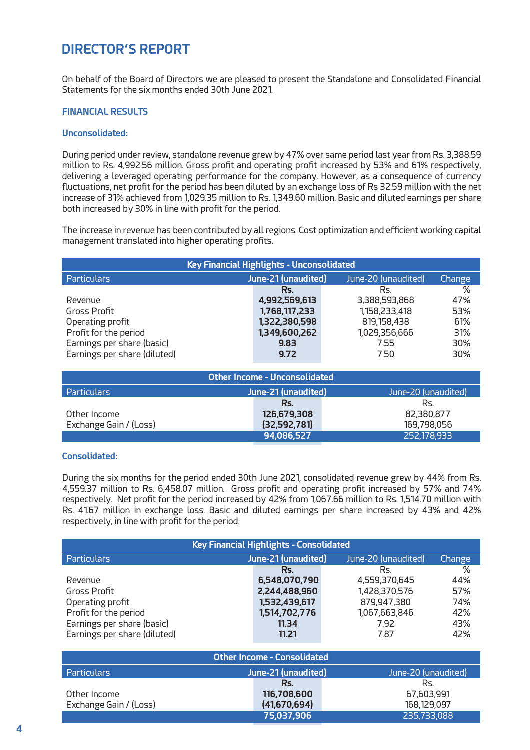# **DIRECTOR'S REPORT**

On behalf of the Board of Directors we are pleased to present the Standalone and Consolidated Financial Statements for the six months ended 30th June 2021.

## **FINANCIAL RESULTS**

#### **Unconsolidated:**

During period under review, standalone revenue grew by 47% over same period last year from Rs. 3,388.59 million to Rs. 4,992.56 million. Gross profit and operating profit increased by 53% and 61% respectively, delivering a leveraged operating performance for the company. However, as a consequence of currency fluctuations, net profit for the period has been diluted by an exchange loss of Rs 32.59 million with the net increase of 31% achieved from 1,029.35 million to Rs. 1,349.60 million. Basic and diluted earnings per share both increased by 30% in line with profit for the period.

The increase in revenue has been contributed by all regions. Cost optimization and efficient working capital management translated into higher operating profits.

| <b>Key Financial Highlights - Unconsolidated</b> |                     |                     |        |  |  |  |
|--------------------------------------------------|---------------------|---------------------|--------|--|--|--|
| <b>Particulars</b>                               | June-21 (unaudited) | June-20 (unaudited) | Change |  |  |  |
|                                                  | Rs.                 | Rs.                 | %      |  |  |  |
| Revenue                                          | 4,992,569,613       | 3.388.593.868       | 47%    |  |  |  |
| Gross Profit                                     | 1,768,117,233       | 1.158.233.418       | 53%    |  |  |  |
| Operating profit                                 | 1,322,380,598       | 819.158.438         | 61%    |  |  |  |
| Profit for the period                            | 1,349,600,262       | 1,029,356,666       | 31%    |  |  |  |
| Earnings per share (basic)                       | 9.83                | 7.55                | 30%    |  |  |  |
| Earnings per share (diluted)                     | 9.72                | 7.50                | 30%    |  |  |  |

| Other Income - Unconsolidated |                     |                     |  |  |  |  |
|-------------------------------|---------------------|---------------------|--|--|--|--|
| <b>Particulars</b>            | June-21 (unaudited) | June-20 (unaudited) |  |  |  |  |
|                               | Rs.                 | Rs.                 |  |  |  |  |
| Other Income                  | 126,679,308         | 82.380.877          |  |  |  |  |
| Exchange Gain / (Loss)        | (32.592.781)        | 169.798.056         |  |  |  |  |
|                               | 94.086.527          | 252.178.933         |  |  |  |  |

## **Consolidated:**

During the six months for the period ended 30th June 2021, consolidated revenue grew by 44% from Rs. 4,559.37 million to Rs. 6,458.07 million. Gross profit and operating profit increased by 57% and 74% respectively. Net profit for the period increased by 42% from 1,067.66 million to Rs. 1,514.70 million with Rs. 41.67 million in exchange loss. Basic and diluted earnings per share increased by 43% and 42% respectively, in line with profit for the period.

| Key Financial Highlights - Consolidated |                     |                     |        |  |  |  |
|-----------------------------------------|---------------------|---------------------|--------|--|--|--|
| Particulars                             | June-21 (unaudited) | June-20 (unaudited) | Change |  |  |  |
|                                         | Rs.                 | Rs.                 | %      |  |  |  |
| Revenue                                 | 6,548,070,790       | 4.559.370.645       | 44%    |  |  |  |
| Gross Profit                            | 2,244,488,960       | 1,428,370,576       | 57%    |  |  |  |
| Operating profit                        | 1,532,439,617       | 879,947,380         | 74%    |  |  |  |
| Profit for the period                   | 1,514,702,776       | 1,067,663,846       | 42%    |  |  |  |
| Earnings per share (basic)              | 11.34               | 7.92                | 43%    |  |  |  |
| Earnings per share (diluted)            | 11.21               | 787                 | 42%    |  |  |  |

| Other Income - Consolidated |                     |                     |  |  |  |  |
|-----------------------------|---------------------|---------------------|--|--|--|--|
| <b>Particulars</b>          | June-21 (unaudited) | June-20 (unaudited) |  |  |  |  |
|                             | Rs.                 | Rs.                 |  |  |  |  |
| Other Income                | 116,708,600         | 67.603.991          |  |  |  |  |
| Exchange Gain / (Loss)      | (41,670,694)        | 168.129.097         |  |  |  |  |
|                             | 75,037,906          | 235,733,088         |  |  |  |  |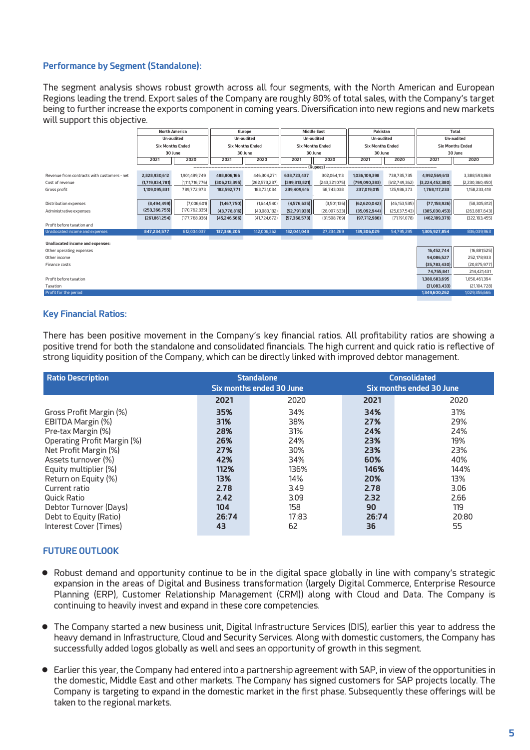## **Performance by Segment (Standalone):**

The segment analysis shows robust growth across all four segments, with the North American and European Regions leading the trend. Export sales of the Company are roughly 80% of total sales, with the Company's target being to further increase the exports component in coming years. Diversification into new regions and new markets will support this objective

|                                             | <b>North America</b>    |                    | Europe                  |                 | <b>Middle East</b>      |               | Pakistan                |                 | Total                   |                 |
|---------------------------------------------|-------------------------|--------------------|-------------------------|-----------------|-------------------------|---------------|-------------------------|-----------------|-------------------------|-----------------|
|                                             | Un-audited              |                    | Un-audited              |                 | Un-audited              |               | Un-audited              |                 | Un-audited              |                 |
|                                             | <b>Six Months Ended</b> |                    | <b>Six Months Ended</b> |                 | <b>Six Months Ended</b> |               | <b>Six Months Ended</b> |                 | <b>Six Months Ended</b> |                 |
|                                             | 30 June                 |                    | 30 June                 |                 | 30 June                 |               | 30 June                 |                 | 30 June                 |                 |
|                                             | 2021                    | 2020               | 2021                    | 2020            | 2021                    | 2020          | 2021                    | 2020            | 2021                    | 2020            |
|                                             |                         |                    |                         |                 |                         | (Rupees)      |                         |                 |                         |                 |
| Revenue from contracts with customers - net | 2.828.930.612           | 1901489.749        | 488.806.166             | 446.304.271     | 638.723.437             | 302.064.113   | 1,036,109,398           | 738.735.735     | 4.992.569.613           | 3.388.593.868   |
| Cost of revenue                             | (1.719.834.781)         | (1, 111, 716, 776) | (306, 213, 395)         | (262, 573, 237) | (399.313.821)           | (243.321.075) | (799.090.383)           | (612, 749, 362) | (3,224,452,380)         | (2,230,360,450) |
| Gross profit                                | 1,109.095.831           | 789.772.973        | 182.592.771             | 183.731.034     | 239,409,616             | 58.743.038    | 237.019.015             | 125.986.373     | 1,768,117,233           | 1.158.233.418   |
|                                             |                         |                    |                         |                 |                         |               |                         |                 |                         |                 |
| <b>Distribution expenses</b>                | (8,494,499)             | (7.006.601)        | (1,467,750)             | (1,644,540)     | (4,576,635)             | (3,501,136)   | (62, 620, 042)          | (46, 153, 535)  | (77, 158, 926)          | (58,305,812)    |
| Administrative expenses                     | (253.366.755)           | (170.762.335)      | (43,778,816)            | (40.080.132)    | (52,791,938)            | (28.007.633)  | (35.092.944)            | (25.037.543)    | (385.030.453)           | (263,887,643)   |
|                                             | (261861254)             | (177.768.936)      | (45.246.566)            | (41,724,672)    | (57.368.573)            | (31.508.769)  | (97.712.986)            | (71.191.078)    | (462.189.379)           | (322.193.455)   |
| Profit hefore taxation and                  |                         |                    |                         |                 |                         |               |                         |                 |                         |                 |
| Unallocated income and expenses             | 847.234.577             | 612.004.037        | 137.346.205             | 142.006.362     | 182.041.043             | 27.234.269    | 139.306.029             | 54,795,295      | 1.305.927.854           | 836,039,963     |
| Unallocated income and expenses:            |                         |                    |                         |                 |                         |               |                         |                 |                         |                 |
| Other operating expenses                    |                         |                    |                         |                 |                         |               |                         |                 | 16,452,744              | (16,881,525)    |
| Other income                                |                         |                    |                         |                 |                         |               | 94.086.527              | 252,178,933     |                         |                 |
| Finance costs                               |                         |                    |                         |                 |                         | (35,783,430)  | (20, 875, 977)          |                 |                         |                 |
|                                             |                         |                    |                         |                 |                         |               |                         |                 | 74,755,841              | 214.421.431     |
| Profit before taxation                      |                         |                    |                         |                 |                         |               |                         |                 | 1,380,683,695           | 1.050.461394    |
| Taxation                                    |                         |                    |                         |                 |                         |               |                         |                 | (31.083.433)            | (21, 104, 728)  |
| Profit for the period                       |                         |                    |                         |                 |                         |               |                         |                 | 1349.600.262            | 1029.356.666    |

### **Key Financial Ratios:**

There has been positive movement in the Company's key financial ratios. All profitability ratios are showing a positive trend for both the standalone and consolidated financials. The high current and quick ratio is reflective of strong liquidity position of the Company, which can be directly linked with improved debtor management.

| <b>Ratio Description</b>      |       | <b>Standalone</b><br>Six months ended 30 June | <b>Consolidated</b><br>Six months ended 30 June |       |  |
|-------------------------------|-------|-----------------------------------------------|-------------------------------------------------|-------|--|
|                               | 2021  | 2020                                          | 2021                                            | 2020  |  |
| Gross Profit Margin (%)       | 35%   | 34%                                           | 34%                                             | 31%   |  |
| EBITDA Margin (%)             | 31%   | 38%                                           | 27%                                             | 29%   |  |
| Pre-tax Margin (%)            | 28%   | 31%                                           | 24%                                             | 24%   |  |
| Operating Profit Margin (%)   | 26%   | 24%                                           | 23%                                             | 19%   |  |
| Net Profit Margin (%)         | 27%   | 30%                                           | 23%                                             | 23%   |  |
| Assets turnover (%)           | 42%   | 34%                                           | 60%                                             | 40%   |  |
| Equity multiplier (%)         | 112%  | 136%                                          | 146%                                            | 144%  |  |
| Return on Equity (%)          | 13%   | 14%                                           | 20%                                             | 13%   |  |
| Current ratio                 | 2.78  | 3.49                                          | 2.78                                            | 3.06  |  |
| Quick Ratio                   | 2.42  | 3.09                                          | 2.32                                            | 2.66  |  |
| Debtor Turnover (Days)        | 104   | 158                                           | 90                                              | 119   |  |
| Debt to Equity (Ratio)        | 26:74 | 17:83                                         | 26:74                                           | 20:80 |  |
| <b>Interest Cover (Times)</b> | 43    | 62                                            | 36                                              | 55    |  |

## **FUTURE OUTLOOK**

- Robust demand and opportunity continue to be in the digital space globally in line with company's strategic<br>expansion in the areas of Digital and Business transformation (Jargely Digital Commerce Enterprise Pesquree expansion in the areas of Digital and Business transformation (largely Digital Commerce, Enterprise Resource Planning (ERP), Customer Relationship Management (CRM)) along with Cloud and Data. The Company is continuing to heavily invest and expand in these core competencies.
- The Company started a new business unit, Digital Infrastructure Services (DIS), earlier this year to address the Company has heavy demand in Infrastructure, Cloud and Security Services. Along with domestic customers, the Company has successfully added logos globally as well and sees an opportunity of growth in this segment.
- Earlier this year, the Company had entered into a partnership agreement with SAP, in view of the opportunities in the domestic Middle Fast and other markets. The Company has signed sustances for SAP projects locally. Th the domestic, Middle East and other markets. The Company has signed customers for SAP projects locally. The Company is targeting to expand in the domestic market in the first phase. Subsequently these offerings will be taken to the regional markets.